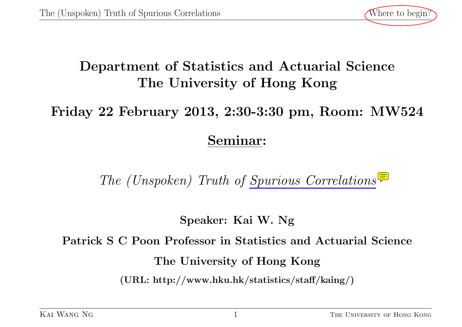

# **Department of Statistics and Actuarial Science The University of Hong Kong**

# **Friday 22 February 2013, 2:30-3:30 pm, Room: MW524**

# **Seminar:**

*The (Unspoken) Truth of [Spurious Correlations](http://www.fields.utoronto.ca/audio/09-10/DLSS/fan/index.html?24;large#slideloc)*

**Speaker: Kai W. Ng**

**Patrick S C Poon Professor in Statistics and Actuarial Science**

**The University of Hong Kong**

**(URL: http://www.hku.hk/statistics/staff/kaing/)**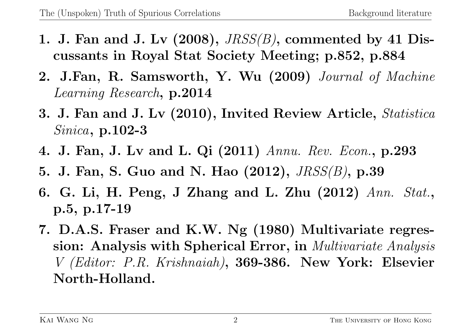- **1. J. Fan and J. Lv (2008),** *JRSS(B)***, commented by 41 Discussants in Royal Stat Society Meeting; p.852, p.884**
- **2. J.Fan, R. Samsworth, Y. Wu (2009)** *Journal of Machine Learning Research***, p.2014**
- **3. J. Fan and J. Lv (2010), Invited Review Article,** *Statistica Sinica***, p.102-3**
- **4. J. Fan, J. Lv and L. Qi (2011)** *Annu. Rev. Econ.***, p.293**
- **5. J. Fan, S. Guo and N. Hao (2012),** *JRSS(B)***, p.39**
- **6. G. Li, H. Peng, J Zhang and L. Zhu (2012)** *Ann. Stat.***, p.5, p.17-19**
- **7. D.A.S. Fraser and K.W. Ng (1980) Multivariate regression: Analysis with Spherical Error, in** *Multivariate Analysis V (Editor: P.R. Krishnaiah)***, 369-386. New York: Elsevier North-Holland.**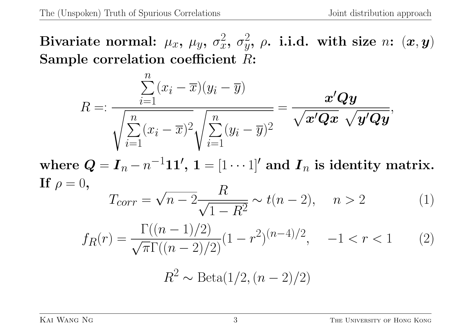$\mathbf{Bivariate\ normal:} \ \mu_x, \ \mu_y, \ \sigma_x^2$  $\frac{2}{x}$ ,  $\sigma_y^2$  $y^2$ ,  $\rho$ . i.i.d. with size  $n$ :  $(\boldsymbol{x}, \boldsymbol{y})$ **Sample correlation coefficient** *R***:**

$$
R =: \frac{\sum_{i=1}^{n} (x_i - \overline{x})(y_i - \overline{y})}{\sqrt{\sum_{i=1}^{n} (x_i - \overline{x})^2} \sqrt{\sum_{i=1}^{n} (y_i - \overline{y})^2}} = \frac{x'Qy}{\sqrt{x'Qx} \sqrt{y'Qy}},
$$

 $\mathbf{w}$  **l**  $\mathbf{Q} = \mathbf{I}_n - n^{-1}\mathbf{1}\mathbf{1}', \ \mathbf{1} = [1\cdots1]^\prime \ \text{and} \ \mathbf{I}_n \ \text{is identity matrix}.$  $\mathbf{If} \ \rho = 0,$ *√ R*

$$
T_{corr} = \sqrt{n - 2 \frac{R}{\sqrt{1 - R^2}}} \sim t(n - 2), \quad n > 2
$$
 (1)

$$
f_R(r) = \frac{\Gamma((n-1)/2)}{\sqrt{\pi}\Gamma((n-2)/2)}(1-r^2)^{(n-4)/2}, \quad -1 < r < 1 \tag{2}
$$

$$
R^2 \sim \text{Beta}(1/2, (n-2)/2)
$$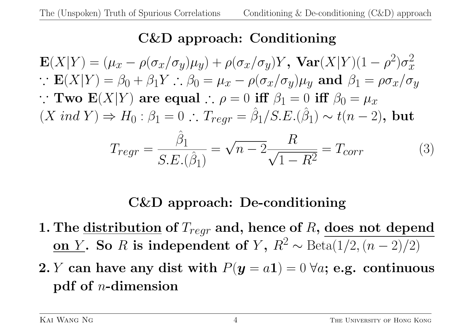## **C&D approach: Conditioning**

$$
\mathbf{E}(X|Y) = (\mu_x - \rho(\sigma_x/\sigma_y)\mu_y) + \rho(\sigma_x/\sigma_y)Y, \ \mathbf{Var}(X|Y)(1-\rho^2)\sigma_x^2
$$
  
\n
$$
\therefore \ \mathbf{E}(X|Y) = \beta_0 + \beta_1 Y \therefore \beta_0 = \mu_x - \rho(\sigma_x/\sigma_y)\mu_y \ \text{and} \ \beta_1 = \rho\sigma_x/\sigma_y
$$
  
\n
$$
\therefore \ \mathbf{Two} \ \mathbf{E}(X|Y) \ \text{are equal} \therefore \ \rho = 0 \ \text{iff} \ \beta_1 = 0 \ \text{iff} \ \beta_0 = \mu_x
$$
  
\n
$$
(X \ \text{ind} \ Y) \Rightarrow H_0: \beta_1 = 0 \therefore \ T_{regr} = \hat{\beta_1}/S.E.(\hat{\beta_1}) \sim t(n-2), \ \text{but}
$$
  
\n
$$
T_{regr} = \frac{\hat{\beta_1}}{S.E.(\hat{\beta_1})} = \sqrt{n-2} \frac{R}{\sqrt{1-R^2}} = T_{corr}
$$
 (3)

## **C&D approach: De-conditioning**

- **1. The distribution of** *Tregr* **and, hence of** *R***, does not depend <u>on** *Y*</u>. So *R* is independent of *Y*,  $R^2 \sim \text{Beta}(1/2, (n-2)/2)$
- **2.** *Y* can have any dist with  $P(y = a1) = 0 \ \forall a$ ; e.g. continuous **pdf of** *n***-dimension**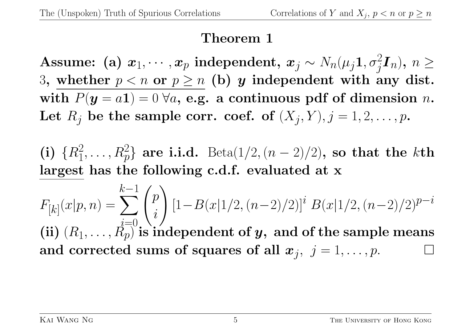### **Theorem 1**

 $\textbf{Assume: (a) } \textbf{\textit{x}}_1, \cdots, \textbf{\textit{x}}_p \textbf{\textit{independent}}, \textbf{\textit{x}}_j \sim N_n(\mu_j\textbf{1},\sigma_j^2\textbf{I}_n), \, n \geq 0.$ 3, whether  $p < n$  or  $p \ge n$  (b) *y* independent with any dist. with  $P(y = a1) = 0 \ \forall a$ , e.g. a continuous pdf of dimension *n*. Let  $R_j$  be the sample corr. coef. of  $(X_j, Y), j = 1, 2, \ldots, p$ .

(i)  ${R_1^2, \ldots, R_p^2}$  are i.i.d. Beta(1/2*,*(*n* − 2)/2), so that the *k*th **largest has the following c.d.f. evaluated at x**

 $F_{[k]}(x|p,n) =$ *k* ∑*−*1 *i*=0  $\sqrt{ }$ *p i*  $\setminus$ [1*−B*(*x|*1*/*2*,*(*n−*2)*/*2)]*<sup>i</sup> B*(*x|*1*/*2*,*(*n−*2)*/*2)*p−<sup>i</sup>* (ii)  $(R_1, \ldots, R_p)$  is independent of  $y$ , and of the sample means and corrected sums of squares of all  $\boldsymbol{x}_j, \; j = 1, \ldots, p.$   $\hfill \Box$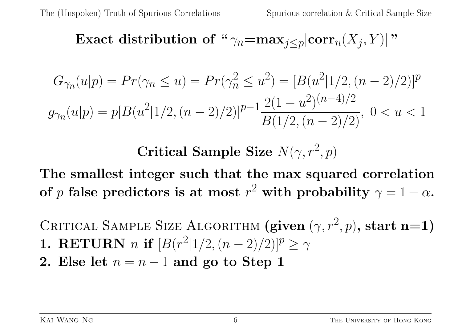**Exact distribution of** "
$$
\gamma_n
$$
=**max**<sub>j</sub> $\leq$ <sub>p</sub>|**corr**<sub>n</sub>( $X_j, Y$ )|"

$$
G_{\gamma_n}(u|p) = Pr(\gamma_n \le u) = Pr(\gamma_n^2 \le u^2) = [B(u^2|1/2, (n-2)/2)]^p
$$
  

$$
g_{\gamma_n}(u|p) = p[B(u^2|1/2, (n-2)/2)]^{p-1} \frac{2(1-u^2)^{(n-4)/2}}{B(1/2, (n-2)/2)}, 0 < u < 1
$$

**Critical Sample Size**  $N(\gamma, r^2, p)$ 

**The smallest integer such that the max squared correlation of**  $p$  false predictors is at most  $r^2$  with probability  $\gamma = 1 - \alpha$ .

CRITICAL SAMPLE SIZE ALGORITHM  $(\textbf{given } (\gamma, r^2, p), \textbf{start n=1})$ **1. RETURN** *n* **if**  $[B(r^2|1/2, (n-2)/2)]^p \ge \gamma$ 

**2.** Else let  $n = n + 1$  and go to Step 1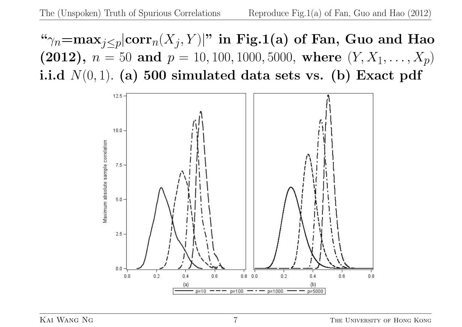" $\gamma_n = \max_{j \leq p} |\text{corr}_n(X_j, Y)|$ " in Fig.1(a) of Fan, Guo and Hao (2012),  $n = 50$  and  $p = 10, 100, 1000, 5000$ , where  $(Y, X_1, \ldots, X_p)$ **i.i.d**  $N(0,1)$ . (a) 500 simulated data sets vs. (b) Exact pdf

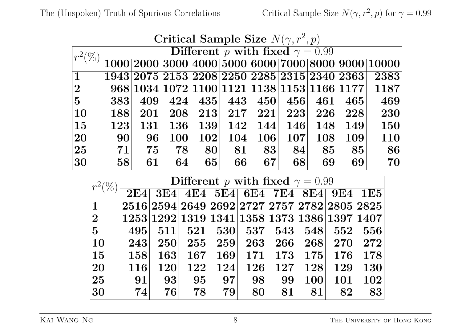| Critical Sample Size $N(\gamma, r^2, p)$ |                                        |                                              |            |     |                               |            |     |            |            |                                                                  |  |  |
|------------------------------------------|----------------------------------------|----------------------------------------------|------------|-----|-------------------------------|------------|-----|------------|------------|------------------------------------------------------------------|--|--|
| $r^2(\%)$                                | Different p with fixed $\gamma = 0.99$ |                                              |            |     |                               |            |     |            |            |                                                                  |  |  |
|                                          |                                        |                                              |            |     |                               |            |     |            |            | $\overline{1000 2000 3000 4000 5000 6000 7000 8000 9000 10000}}$ |  |  |
| $\overline{\mathbf{1}}$                  |                                        | 1943 2075 2153 2208 2250 2285 2315 2340 2363 |            |     |                               |            |     |            |            | 2383                                                             |  |  |
| 2                                        |                                        | 968 1034 1072 1100 1121 1138 1153 1166 1177  |            |     |                               |            |     |            |            | 1187                                                             |  |  |
| 5                                        | 383                                    | 409                                          | 424        |     | $ 435 $ $ 443 $               | 450        | 456 | 461        | 465        | 469                                                              |  |  |
| $\overline{10}$                          | 188                                    | 201                                          | 208        |     | $\mid 213 \mid \mid 217 \mid$ | 221        | 223 | $226\vert$ | 228        | 230                                                              |  |  |
| $\overline{15}$                          | 123                                    | 131                                          | <b>136</b> | 139 | 142                           | 144        | 146 | <b>148</b> | <b>149</b> | <b>150</b>                                                       |  |  |
| 20                                       | 90 <sub>l</sub>                        | 96                                           | <b>100</b> | 102 | 104                           | <b>106</b> | 107 | 108        | <b>109</b> | 110                                                              |  |  |
| $ 25\rangle$                             | 71                                     | 75                                           | 78         | 80  | 81                            | 83         | 84  | 85         | 85         | 86                                                               |  |  |
| 30                                       | 58 <sup>°</sup>                        | 61                                           | 64         | 65  | 66                            | 67         | 68  | 69         | 69         | 70                                                               |  |  |

| Critical Sample Size $N(\gamma, r^2, p)$ |  |
|------------------------------------------|--|
|------------------------------------------|--|

| $r^2(\%$       | Different p with fixed $\gamma = 0.99$ |                                              |        |     |                               |            |     |     |            |  |  |
|----------------|----------------------------------------|----------------------------------------------|--------|-----|-------------------------------|------------|-----|-----|------------|--|--|
|                | 2E4                                    |                                              |        |     | 3E4 4E4 5E4 6E4 7E4 8E4 9E4   |            |     |     | <b>1E5</b> |  |  |
| $\mathbf{1}$   |                                        | 2516 2594 2649 2692 2727 2757 2782 2805 2825 |        |     |                               |            |     |     |            |  |  |
| $\mathbf{2}$   |                                        | 1253 1292 1319 1341 1358 1373 1386 1397 1407 |        |     |                               |            |     |     |            |  |  |
| 5 <sup>5</sup> | 495                                    | 511                                          | $-521$ |     | $\mid 530 \mid \mid 537 \mid$ | $-543$     | 548 | 552 | 556        |  |  |
| 10             | 243                                    | 250                                          | 255    | 259 | 263                           | 266        | 268 | 270 | 272        |  |  |
| 15             | 158                                    | 163                                          | 167    | 169 | 171                           | 173        | 175 | 176 | 178        |  |  |
| 20             | <b>116</b>                             | 120                                          | 122    | 124 | 126                           | <b>127</b> | 128 | 129 | 130        |  |  |
| 25             | 91                                     | 93                                           | 95     | 97  | 98                            | 99         | 100 | 101 | 102        |  |  |
| 30             | 74                                     | 76                                           | 78     | 79  | 80                            | 81         | 81  | 82  | 83         |  |  |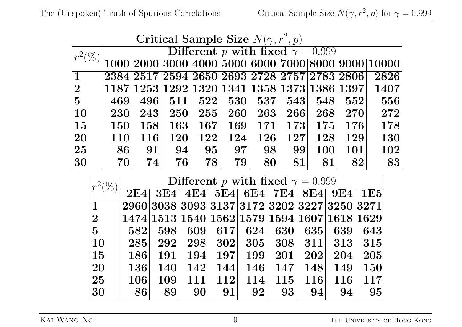| Critical Sample Size $N(\gamma, r^2, p)$ |  |
|------------------------------------------|--|
|------------------------------------------|--|

| $r^2(\%)$           | Different p with fixed $\gamma = 0.999$ |     |     |     |              |     |     |            |                                                                                                   |                                                                                                                   |  |
|---------------------|-----------------------------------------|-----|-----|-----|--------------|-----|-----|------------|---------------------------------------------------------------------------------------------------|-------------------------------------------------------------------------------------------------------------------|--|
|                     |                                         |     |     |     |              |     |     |            |                                                                                                   | $\fbox{1000}\fbox{2000}\fbox{3000}\fbox{4000}\fbox{5000}\fbox{6000}\fbox{7000}\fbox{8000}\fbox{9000}\fbox{10000}$ |  |
| $\overline{1}$      |                                         |     |     |     |              |     |     |            | $\left[2384\right]2517\right]2594\left[2650\right]2693\left[2728\right]2757\left[2783\right]2806$ | 2826                                                                                                              |  |
| 2                   |                                         |     |     |     |              |     |     |            | $\vert 1187\vert 1253\vert 1292\vert 1320\vert 1341\vert 1358\vert 1373\vert 1386\vert 1397\vert$ | 1407                                                                                                              |  |
| 5                   | 469                                     | 496 | 511 |     | $-522$ $530$ | 537 | 543 | 548        | 552                                                                                               | 556                                                                                                               |  |
| $\vert10\vert$      | 230                                     | 243 | 250 | 255 | 260          | 263 | 266 | 268        | 270                                                                                               | 272                                                                                                               |  |
| $\vert15\vert$      | <b>150</b>                              | 158 | 163 | 167 | 169          | 171 | 173 | $-175$     | 176                                                                                               | 178                                                                                                               |  |
| $ 20\rangle$        | <b>110</b>                              | 116 | 120 | 122 | 124          | 126 | 127 | 128        | 129                                                                                               | <b>130</b>                                                                                                        |  |
| $\overline{\bf 25}$ | <b>86</b>                               | 91  | 94  | 95  | 97           | 98  | 99  | <b>100</b> | 101                                                                                               | 102                                                                                                               |  |
| $ 30\rangle$        | 70                                      | 74  | 76  | 78  | 79           | 80  | 81  | 81         | 82                                                                                                | 83                                                                                                                |  |

| $r^2(\%$        | Different p with fixed $\gamma = 0.999$ |                                                |     |            |                                 |     |               |               |            |  |  |
|-----------------|-----------------------------------------|------------------------------------------------|-----|------------|---------------------------------|-----|---------------|---------------|------------|--|--|
|                 | 2E4                                     |                                                |     |            | 3E4 4E4 5E4 6E4 7E4 8E4 9E4 1E5 |     |               |               |            |  |  |
| $\mathbf 1$     |                                         | 2960 3038 3093 3137 3172 3202 3227 3250 3271   |     |            |                                 |     |               |               |            |  |  |
| $\bf{2}$        |                                         | $1474 1513 1540 1562 1579 1594 1607 1618 1629$ |     |            |                                 |     |               |               |            |  |  |
| $5\overline{)}$ | 582                                     | 598                                            | 609 | 617        | 624                             | 630 | 635           | 639           | 643        |  |  |
| <b>10</b>       | 285                                     | 292                                            | 298 | 302        | 305                             | 308 |               | $311 $ $313 $ | 315        |  |  |
| 15              | 186                                     | 191                                            | 194 | 197        | <b>199</b>                      | 201 | 202           | 204           | 205        |  |  |
| 20              | <b>136</b>                              | <b>140</b>                                     | 142 | 144        | 146                             | 147 | 148           | 149           | <b>150</b> |  |  |
| 25              | 106                                     | 109                                            | 111 | <b>112</b> | 114                             | 115 | $116^{\circ}$ | 116           | 117        |  |  |
| 30              | 86                                      | 89                                             | 90  | 91         | 92                              | 93  | 94            | 94            | 95         |  |  |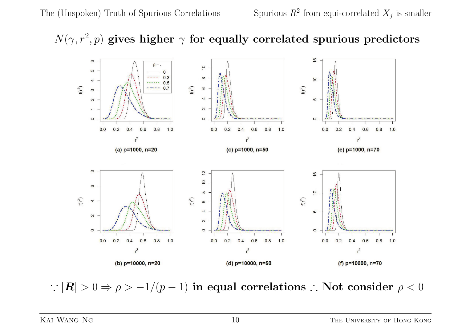#### $N(\gamma, r^2, p)$  gives higher  $\gamma$  for equally correlated spurious predictors



∴  $|\mathbf{R}| > 0 \Rightarrow \rho > -1/(p-1)$  in equal correlations ∴ Not consider  $\rho < 0$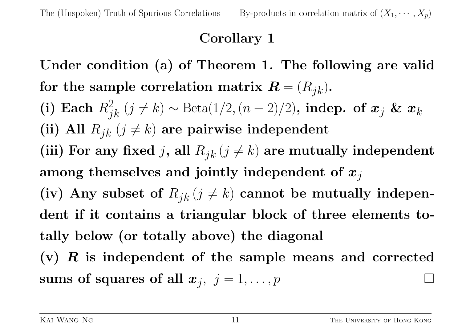## **Corollary 1**

**Under condition (a) of Theorem 1. The following are valid** for the sample correlation matrix  $\mathbf{R} = (R_{jk})$ . (i) Each  $R_{jk}^2$  (*j* ≠ *k*)  $\sim$  Beta(1/2*,*(*n* − 2)/2), indep. of  $x_j$  &  $x_k$ (ii) All  $R_{jk}$  ( $j \neq k$ ) are pairwise independent (iii) For any fixed *j*, all  $R_{jk}$  ( $j \neq k$ ) are mutually independent **among themselves and jointly independent of** *xj* (iv) Any subset of  $R_{jk}$  ( $j \neq k$ ) cannot be mutually indepen**dent if it contains a triangular block of three elements totally below (or totally above) the diagonal**

**(v)** *R* **is independent of the sample means and corrected**  $\textbf{sums of squares of all } \bm{x}_j, \,\, j=1,\ldots,p$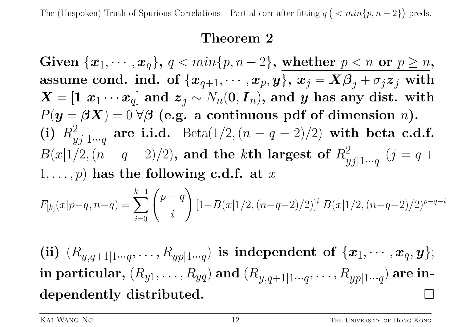### **Theorem 2**

 $\textbf{Given } \{\boldsymbol{x}_1, \cdots, \boldsymbol{x}_q\}, \ q < min\{p, n-2\}, \ \textbf{whether}\ \ p < n \ \ \textbf{or} \ \ p \geq n,$ assume cond. ind. of  $\{x_{q+1}, \dots, x_p, y\}$ ,  $x_j = X\beta_j + \sigma_j z_j$  with  $\boldsymbol{X} = \left[\mathbf{1} \ \pmb{x}_1 \cdots \pmb{x}_q\right]$  and  $\pmb{z}_j \sim N_n(\pmb{0},\boldsymbol{I}_n),$  and  $\pmb{y}$  has any dist. with  $P(y = \beta X) = 0 \,\forall \beta$  (e.g. a continuous pdf of dimension *n*).  $(i)$   $R_u^2$ *yj|*1*···q* **are i.i.d.** Beta $(1/2, (n - q - 2)/2)$  with beta c.d.f. *B*(*x*|1/2*,*( $n - q - 2$ )/2), and the *k*th largest of  $R<sub>2</sub><sup>2</sup>$ *yj|*1*···q*  $(j = q +$  $1, \ldots, p$  has the following c.d.f. at  $x$ 

$$
F_{[k]}(x|p-q, n-q) = \sum_{i=0}^{k-1} {p-q \choose i} \left[1 - B(x|1/2, (n-q-2)/2)\right]^i B(x|1/2, (n-q-2)/2)^{p-q-i}
$$

(ii)  $(R_{y,q+1|1\cdots q},\ldots,R_{yp|1\cdots q})$  is independent of  $\{\boldsymbol{x}_1,\cdots,\boldsymbol{x}_q,\boldsymbol{y}\};$  $\bold{in}$   $\bold{particular,}\ (R_{y1},\ldots,R_{yq}) \ \bold{and}\ (R_{y,q+1|1\cdots q},\ldots,R_{yp|1\cdots q})\ \bold{are\ in\text{-}l}.$ **dependently distributed.**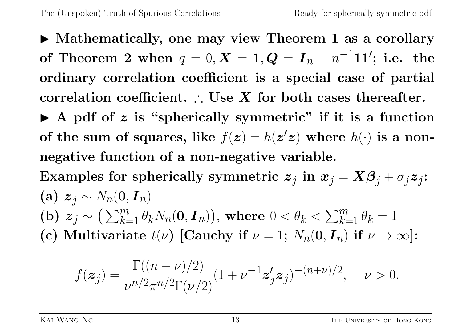▶ Mathematically, one may view Theorem 1 as a corollary  ${\bf of\ Theorem\ 2 \ when\ \ } q=0, \bm{X}=1, \bm{Q}=\bm{I}_n-n^{-1}\bm{1}\bm{1}'; \text{ i.e. the }$ **ordinary correlation coefficient is a special case of partial correlation coefficient.** ∴ **Use** *X* **for both cases thereafter.** ▶ A pdf of z is "spherically symmetric" if it is a function of the sum of squares, like  $f(z) = h(z'z)$  where  $h(\cdot)$  is a non**negative function of a non-negative variable.**  $\textbf{Examples for spherically symmetric } \textbf{z}_j \textbf{ in } \textbf{\textit{x}}_j = \textbf{X}\boldsymbol{\beta}_j + \sigma_j \textbf{z}_j \textbf{ :}$  $\mathbf{z}_i \sim N_n(\mathbf{0}, \mathbf{I}_n)$ **(b)**  $z_j \sim (\sum_{k=1}^m \theta_k N_n(\mathbf{0}, \mathbf{I}_n))$ , where  $0 < \theta_k < \sum_{k=1}^m \theta_k = 1$ (c) Multivariate  $t(\nu)$  [Cauchy if  $\nu = 1$ ;  $N_n(\mathbf{0}, \mathbf{I}_n)$  if  $\nu \to \infty$ ]:

$$
f(\boldsymbol{z}_j) = \frac{\Gamma((n+\nu)/2)}{\nu^{n/2}\pi^{n/2}\Gamma(\nu/2)}(1+\nu^{-1}\boldsymbol{z}_j'\boldsymbol{z}_j)^{-(n+\nu)/2}, \quad \nu > 0.
$$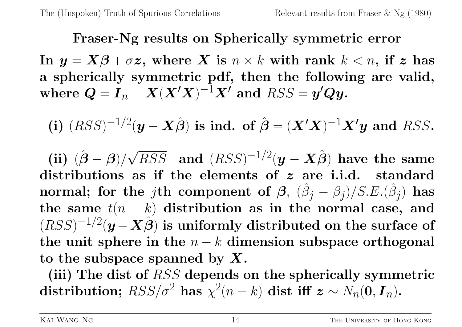### **Fraser-Ng results on Spherically symmetric error**

**In**  $y = X\beta + \sigma z$ , where *X* is  $n \times k$  with rank  $k < n$ , if *z* has **a spherically symmetric pdf, then the following are valid,**  $\mathbf{w} = \mathbf{I}_n - \mathbf{X}(\mathbf{X}'\mathbf{X})^{-1}\mathbf{X}'$  and  $RSS = \mathbf{y}'\mathbf{Q}\mathbf{y}$ .

(i) 
$$
(RSS)^{-1/2}(\mathbf{y} - \mathbf{X}\hat{\boldsymbol{\beta}})
$$
 is ind. of  $\hat{\boldsymbol{\beta}} = (\mathbf{X}'\mathbf{X})^{-1}\mathbf{X}'\mathbf{y}$  and RSS.

**(ii)**  $(\hat{\boldsymbol{\beta}} - \boldsymbol{\beta})/$ *√*  $\overline{RSS}$  and  $(RSS)^{-1/2}(\boldsymbol{y}-\boldsymbol{X}\hat{\boldsymbol{\beta}})$  have the same **distributions as if the elements of** *z* **are i.i.d. standard**  ${\bf normal; \ for \ the \ }j{\bf th \ component \ of} \ \ {\boldsymbol \beta, \ } \ (\hat{\beta}_j - \beta_j)/S.E.(\hat{\beta}_j) \ \ {\bf has}$ the same  $t(n - k)$  distribution as in the normal case, and  $(RSS)^{-1/2}(\boldsymbol{y}-\boldsymbol{X}\hat{\boldsymbol{\beta}})$  is uniformly distributed on the surface of **the unit sphere in the** *n − k* **dimension subspace orthogonal to the subspace spanned by** *X***.**

**(iii) The dist of** *RSS* **depends on the spherically symmetric**  $\textbf{distribution; } RSS/\sigma^2 \textbf{ has } \chi^2(n-k) \textbf{ dist iff } \textbf{z} \sim N_n(\textbf{0}, \textbf{I}_n).$